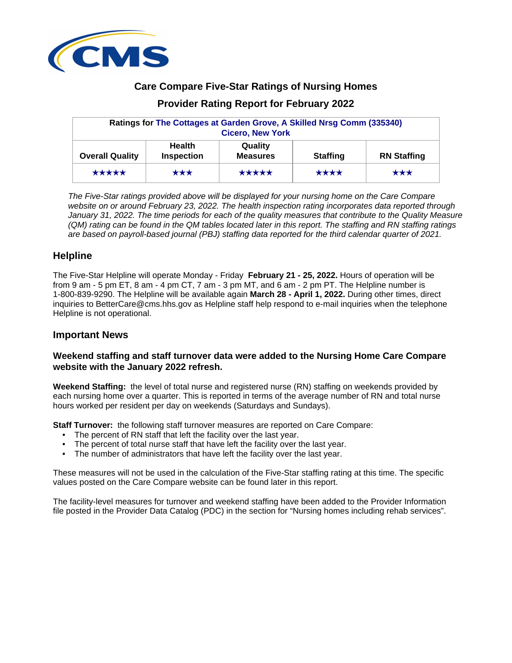

# **Care Compare Five-Star Ratings of Nursing Homes**

# **Provider Rating Report for February 2022**

| Ratings for The Cottages at Garden Grove, A Skilled Nrsg Comm (335340)<br><b>Cicero, New York</b> |                             |                            |                 |                    |  |  |
|---------------------------------------------------------------------------------------------------|-----------------------------|----------------------------|-----------------|--------------------|--|--|
| <b>Overall Quality</b>                                                                            | <b>Health</b><br>Inspection | Quality<br><b>Measures</b> | <b>Staffing</b> | <b>RN Staffing</b> |  |  |
| *****                                                                                             | $\star\star\star$           | *****                      | ****            | $\star\star\star$  |  |  |

The Five-Star ratings provided above will be displayed for your nursing home on the Care Compare website on or around February 23, 2022. The health inspection rating incorporates data reported through January 31, 2022. The time periods for each of the quality measures that contribute to the Quality Measure (QM) rating can be found in the QM tables located later in this report. The staffing and RN staffing ratings are based on payroll-based journal (PBJ) staffing data reported for the third calendar quarter of 2021.

# **Helpline**

The Five-Star Helpline will operate Monday - Friday **February 21 - 25, 2022.** Hours of operation will be from 9 am - 5 pm ET, 8 am - 4 pm CT, 7 am - 3 pm MT, and 6 am - 2 pm PT. The Helpline number is 1-800-839-9290. The Helpline will be available again **March 28 - April 1, 2022.** During other times, direct inquiries to BetterCare@cms.hhs.gov as Helpline staff help respond to e-mail inquiries when the telephone Helpline is not operational.

# **Important News**

# **Weekend staffing and staff turnover data were added to the Nursing Home Care Compare website with the January 2022 refresh.**

**Weekend Staffing:** the level of total nurse and registered nurse (RN) staffing on weekends provided by each nursing home over a quarter. This is reported in terms of the average number of RN and total nurse hours worked per resident per day on weekends (Saturdays and Sundays).

**Staff Turnover:** the following staff turnover measures are reported on Care Compare:

- The percent of RN staff that left the facility over the last year.
- The percent of total nurse staff that have left the facility over the last year.
- The number of administrators that have left the facility over the last year.

These measures will not be used in the calculation of the Five-Star staffing rating at this time. The specific values posted on the Care Compare website can be found later in this report.

The facility-level measures for turnover and weekend staffing have been added to the Provider Information file posted in the Provider Data Catalog (PDC) in the section for "Nursing homes including rehab services".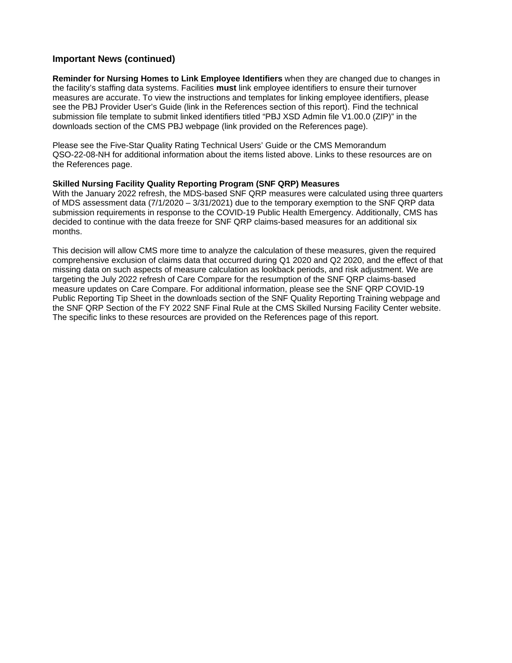# **Important News (continued)**

**Reminder for Nursing Homes to Link Employee Identifiers** when they are changed due to changes in the facility's staffing data systems. Facilities **must** link employee identifiers to ensure their turnover measures are accurate. To view the instructions and templates for linking employee identifiers, please see the PBJ Provider User's Guide (link in the References section of this report). Find the technical submission file template to submit linked identifiers titled "PBJ XSD Admin file V1.00.0 (ZIP)" in the downloads section of the CMS PBJ webpage (link provided on the References page).

Please see the Five-Star Quality Rating Technical Users' Guide or the CMS Memorandum QSO-22-08-NH for additional information about the items listed above. Links to these resources are on the References page.

## **Skilled Nursing Facility Quality Reporting Program (SNF QRP) Measures**

With the January 2022 refresh, the MDS-based SNF QRP measures were calculated using three quarters of MDS assessment data (7/1/2020 – 3/31/2021) due to the temporary exemption to the SNF QRP data submission requirements in response to the COVID-19 Public Health Emergency. Additionally, CMS has decided to continue with the data freeze for SNF QRP claims-based measures for an additional six months.

This decision will allow CMS more time to analyze the calculation of these measures, given the required comprehensive exclusion of claims data that occurred during Q1 2020 and Q2 2020, and the effect of that missing data on such aspects of measure calculation as lookback periods, and risk adjustment. We are targeting the July 2022 refresh of Care Compare for the resumption of the SNF QRP claims-based measure updates on Care Compare. For additional information, please see the SNF QRP COVID-19 Public Reporting Tip Sheet in the downloads section of the SNF Quality Reporting Training webpage and the SNF QRP Section of the FY 2022 SNF Final Rule at the CMS Skilled Nursing Facility Center website. The specific links to these resources are provided on the References page of this report.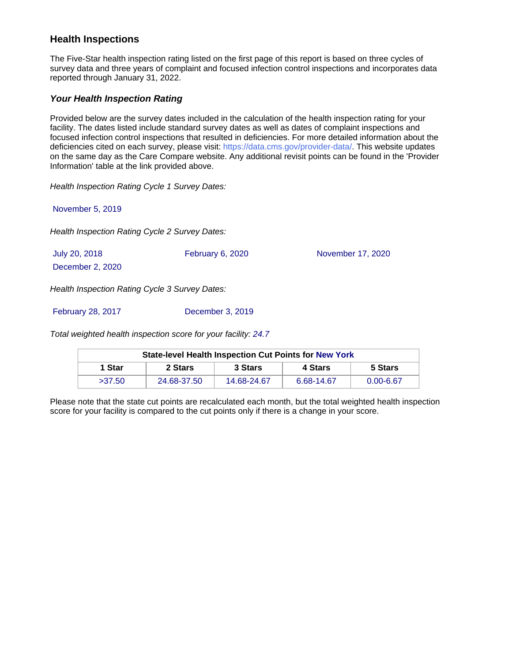# **Health Inspections**

The Five-Star health inspection rating listed on the first page of this report is based on three cycles of survey data and three years of complaint and focused infection control inspections and incorporates data reported through January 31, 2022.

# **Your Health Inspection Rating**

Provided below are the survey dates included in the calculation of the health inspection rating for your facility. The dates listed include standard survey dates as well as dates of complaint inspections and focused infection control inspections that resulted in deficiencies. For more detailed information about the deficiencies cited on each survey, please visit: https://data.cms.gov/provider-data/. This website updates on the same day as the Care Compare website. Any additional revisit points can be found in the 'Provider Information' table at the link provided above.

Health Inspection Rating Cycle 1 Survey Dates:

November 5, 2019

Health Inspection Rating Cycle 2 Survey Dates:

| July 20, 2018                                    | February 6, 2020 | November 17, 2020 |
|--------------------------------------------------|------------------|-------------------|
| December 2, 2020                                 |                  |                   |
| Lloelth Increation Detine Ovale 2 Current Detect |                  |                   |

Health Inspection Rating Cycle 3 Survey Dates:

February 28, 2017 December 3, 2019

Total weighted health inspection score for your facility: 24.7

| <b>State-level Health Inspection Cut Points for New York</b> |             |             |            |               |  |  |  |
|--------------------------------------------------------------|-------------|-------------|------------|---------------|--|--|--|
| 1 Star                                                       | 2 Stars     | 3 Stars     | 4 Stars    | 5 Stars       |  |  |  |
| >37.50                                                       | 24.68-37.50 | 14.68-24.67 | 6.68-14.67 | $0.00 - 6.67$ |  |  |  |

Please note that the state cut points are recalculated each month, but the total weighted health inspection score for your facility is compared to the cut points only if there is a change in your score.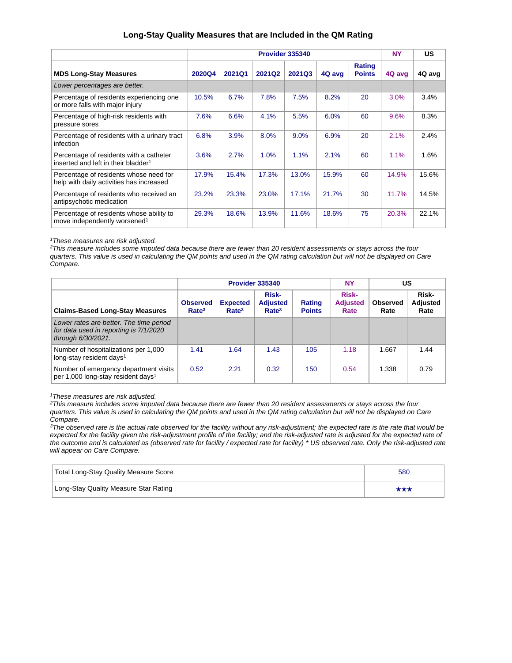## **Long-Stay Quality Measures that are Included in the QM Rating**

|                                                                                            |               | Provider 335340 |               |        |        |                         |        | <b>US</b> |
|--------------------------------------------------------------------------------------------|---------------|-----------------|---------------|--------|--------|-------------------------|--------|-----------|
| <b>MDS Long-Stay Measures</b>                                                              | <b>2020Q4</b> | 2021Q1          | <b>2021Q2</b> | 2021Q3 | 4Q avg | Rating<br><b>Points</b> | 4Q avg | 4Q avg    |
| Lower percentages are better.                                                              |               |                 |               |        |        |                         |        |           |
| Percentage of residents experiencing one<br>or more falls with major injury                | 10.5%         | 6.7%            | 7.8%          | 7.5%   | 8.2%   | 20                      | 3.0%   | 3.4%      |
| Percentage of high-risk residents with<br>pressure sores                                   | 7.6%          | 6.6%            | 4.1%          | 5.5%   | 6.0%   | 60                      | 9.6%   | 8.3%      |
| Percentage of residents with a urinary tract<br>infection                                  | 6.8%          | 3.9%            | 8.0%          | 9.0%   | 6.9%   | 20                      | 2.1%   | 2.4%      |
| Percentage of residents with a catheter<br>inserted and left in their bladder <sup>1</sup> | 3.6%          | 2.7%            | 1.0%          | 1.1%   | 2.1%   | 60                      | 1.1%   | 1.6%      |
| Percentage of residents whose need for<br>help with daily activities has increased         | 17.9%         | 15.4%           | 17.3%         | 13.0%  | 15.9%  | 60                      | 14.9%  | 15.6%     |
| Percentage of residents who received an<br>antipsychotic medication                        | 23.2%         | 23.3%           | 23.0%         | 17.1%  | 21.7%  | 30                      | 11.7%  | 14.5%     |
| Percentage of residents whose ability to<br>move independently worsened <sup>1</sup>       | 29.3%         | 18.6%           | 13.9%         | 11.6%  | 18.6%  | 75                      | 20.3%  | 22.1%     |

<sup>1</sup>These measures are risk adjusted.

<sup>2</sup>This measure includes some imputed data because there are fewer than 20 resident assessments or stays across the four quarters. This value is used in calculating the QM points and used in the QM rating calculation but will not be displayed on Care Compare.

|                                                                                                         |                                      |                                      | Provider 335340                                      | <b>NY</b>               |                                  | US                      |                                  |
|---------------------------------------------------------------------------------------------------------|--------------------------------------|--------------------------------------|------------------------------------------------------|-------------------------|----------------------------------|-------------------------|----------------------------------|
| <b>Claims-Based Long-Stay Measures</b>                                                                  | <b>Observed</b><br>Rate <sup>3</sup> | <b>Expected</b><br>Rate <sup>3</sup> | <b>Risk-</b><br><b>Adjusted</b><br>Rate <sup>3</sup> | Rating<br><b>Points</b> | Risk-<br><b>Adjusted</b><br>Rate | <b>Observed</b><br>Rate | Risk-<br><b>Adjusted</b><br>Rate |
| Lower rates are better. The time period<br>for data used in reporting is 7/1/2020<br>through 6/30/2021. |                                      |                                      |                                                      |                         |                                  |                         |                                  |
| Number of hospitalizations per 1,000<br>long-stay resident days <sup>1</sup>                            | 1.41                                 | 1.64                                 | 1.43                                                 | 105                     | 1.18                             | 1.667                   | 1.44                             |
| Number of emergency department visits<br>per 1,000 long-stay resident days <sup>1</sup>                 | 0.52                                 | 2.21                                 | 0.32                                                 | 150                     | 0.54                             | 1.338                   | 0.79                             |

<sup>1</sup>These measures are risk adjusted.

<sup>2</sup>This measure includes some imputed data because there are fewer than 20 resident assessments or stays across the four quarters. This value is used in calculating the QM points and used in the QM rating calculation but will not be displayed on Care Compare.

<sup>3</sup>The observed rate is the actual rate observed for the facility without any risk-adjustment; the expected rate is the rate that would be expected for the facility given the risk-adjustment profile of the facility; and the risk-adjusted rate is adjusted for the expected rate of the outcome and is calculated as (observed rate for facility / expected rate for facility) \* US observed rate. Only the risk-adjusted rate will appear on Care Compare.

| Total Long-Stay Quality Measure Score | 580 |
|---------------------------------------|-----|
| Long-Stay Quality Measure Star Rating | *** |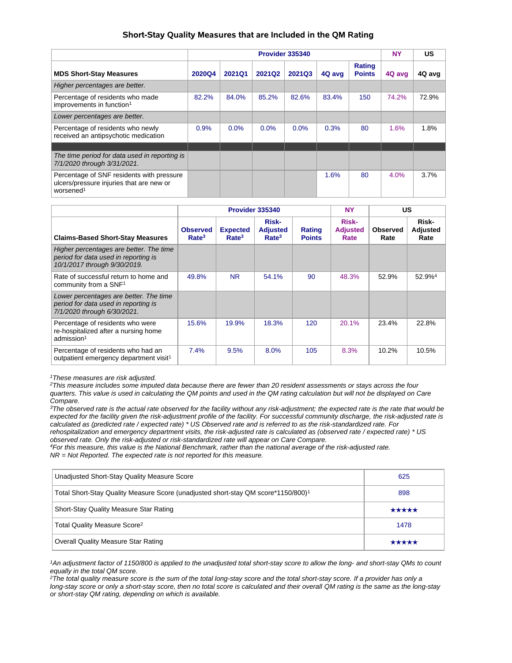## **Short-Stay Quality Measures that are Included in the QM Rating**

|                                                                                                                |        | Provider 335340 |        |        |        |                         |        | US     |
|----------------------------------------------------------------------------------------------------------------|--------|-----------------|--------|--------|--------|-------------------------|--------|--------|
| <b>MDS Short-Stay Measures</b>                                                                                 | 2020Q4 | 2021Q1          | 2021Q2 | 2021Q3 | 4Q avg | Rating<br><b>Points</b> | 4Q avg | 4Q avg |
| Higher percentages are better.                                                                                 |        |                 |        |        |        |                         |        |        |
| Percentage of residents who made<br>improvements in function <sup>1</sup>                                      | 82.2%  | 84.0%           | 85.2%  | 82.6%  | 83.4%  | 150                     | 74.2%  | 72.9%  |
| Lower percentages are better.                                                                                  |        |                 |        |        |        |                         |        |        |
| Percentage of residents who newly<br>received an antipsychotic medication                                      | 0.9%   | 0.0%            | 0.0%   | 0.0%   | 0.3%   | 80                      | 1.6%   | 1.8%   |
|                                                                                                                |        |                 |        |        |        |                         |        |        |
| The time period for data used in reporting is<br>7/1/2020 through 3/31/2021.                                   |        |                 |        |        |        |                         |        |        |
| Percentage of SNF residents with pressure<br>ulcers/pressure injuries that are new or<br>worsened <sup>1</sup> |        |                 |        |        | 1.6%   | 80                      | 4.0%   | 3.7%   |

|                                                                                                                 | Provider 335340                      |                                      |                                               |                                | <b>NY</b>                        | <b>US</b>        |                           |
|-----------------------------------------------------------------------------------------------------------------|--------------------------------------|--------------------------------------|-----------------------------------------------|--------------------------------|----------------------------------|------------------|---------------------------|
| <b>Claims-Based Short-Stay Measures</b>                                                                         | <b>Observed</b><br>Rate <sup>3</sup> | <b>Expected</b><br>Rate <sup>3</sup> | Risk-<br><b>Adjusted</b><br>Rate <sup>3</sup> | <b>Rating</b><br><b>Points</b> | Risk-<br><b>Adjusted</b><br>Rate | Observed<br>Rate | Risk-<br>Adjusted<br>Rate |
| Higher percentages are better. The time<br>period for data used in reporting is<br>10/1/2017 through 9/30/2019. |                                      |                                      |                                               |                                |                                  |                  |                           |
| Rate of successful return to home and<br>community from a SNF <sup>1</sup>                                      | 49.8%                                | <b>NR</b>                            | 54.1%                                         | 90                             | 48.3%                            | 52.9%            | 52.9% <sup>4</sup>        |
| Lower percentages are better. The time<br>period for data used in reporting is<br>7/1/2020 through 6/30/2021.   |                                      |                                      |                                               |                                |                                  |                  |                           |
| Percentage of residents who were<br>re-hospitalized after a nursing home<br>admission <sup>1</sup>              | 15.6%                                | 19.9%                                | 18.3%                                         | 120                            | 20.1%                            | 23.4%            | 22.8%                     |
| Percentage of residents who had an<br>outpatient emergency department visit <sup>1</sup>                        | 7.4%                                 | 9.5%                                 | 8.0%                                          | 105                            | 8.3%                             | 10.2%            | 10.5%                     |

<sup>1</sup>These measures are risk adjusted.

 $2$ This measure includes some imputed data because there are fewer than 20 resident assessments or stays across the four quarters. This value is used in calculating the QM points and used in the QM rating calculation but will not be displayed on Care Compare.

<sup>3</sup>The observed rate is the actual rate observed for the facility without any risk-adjustment; the expected rate is the rate that would be expected for the facility given the risk-adjustment profile of the facility. For successful community discharge, the risk-adjusted rate is calculated as (predicted rate / expected rate) \* US Observed rate and is referred to as the risk-standardized rate. For rehospitalization and emergency department visits, the risk-adjusted rate is calculated as (observed rate / expected rate) \* US

observed rate. Only the risk-adjusted or risk-standardized rate will appear on Care Compare.

<sup>4</sup>For this measure, this value is the National Benchmark, rather than the national average of the risk-adjusted rate.  $NR = Not Reported.$  The expected rate is not reported for this measure.

| Unadjusted Short-Stay Quality Measure Score                                                   | 625   |
|-----------------------------------------------------------------------------------------------|-------|
| Total Short-Stay Quality Measure Score (unadjusted short-stay QM score*1150/800) <sup>1</sup> | 898   |
| Short-Stay Quality Measure Star Rating                                                        | ***** |
| Total Quality Measure Score <sup>2</sup>                                                      | 1478  |
| <b>Overall Quality Measure Star Rating</b>                                                    | ***** |

<sup>1</sup>An adjustment factor of 1150/800 is applied to the unadjusted total short-stay score to allow the long- and short-stay QMs to count equally in the total QM score.

 $2$ The total quality measure score is the sum of the total long-stay score and the total short-stay score. If a provider has only a long-stay score or only a short-stay score, then no total score is calculated and their overall QM rating is the same as the long-stay or short-stay QM rating, depending on which is available.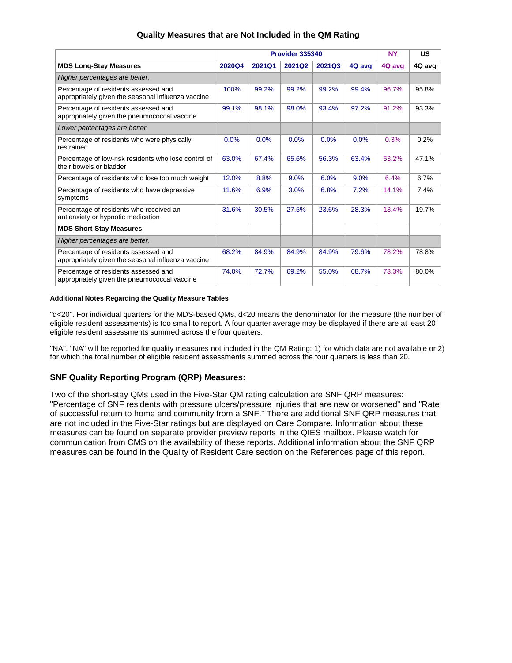|                                                                                            |               | Provider 335340 | <b>NY</b> | US     |        |        |        |
|--------------------------------------------------------------------------------------------|---------------|-----------------|-----------|--------|--------|--------|--------|
| <b>MDS Long-Stay Measures</b>                                                              | <b>2020Q4</b> | 2021Q1          | 2021Q2    | 2021Q3 | 4Q avg | 4Q avg | 4Q avg |
| Higher percentages are better.                                                             |               |                 |           |        |        |        |        |
| Percentage of residents assessed and<br>appropriately given the seasonal influenza vaccine | 100%          | 99.2%           | 99.2%     | 99.2%  | 99.4%  | 96.7%  | 95.8%  |
| Percentage of residents assessed and<br>appropriately given the pneumococcal vaccine       | 99.1%         | 98.1%           | 98.0%     | 93.4%  | 97.2%  | 91.2%  | 93.3%  |
| Lower percentages are better.                                                              |               |                 |           |        |        |        |        |
| Percentage of residents who were physically<br>restrained                                  | 0.0%          | 0.0%            | 0.0%      | 0.0%   | 0.0%   | 0.3%   | 0.2%   |
| Percentage of low-risk residents who lose control of<br>their bowels or bladder            | 63.0%         | 67.4%           | 65.6%     | 56.3%  | 63.4%  | 53.2%  | 47.1%  |
| Percentage of residents who lose too much weight                                           | 12.0%         | 8.8%            | 9.0%      | 6.0%   | 9.0%   | 6.4%   | 6.7%   |
| Percentage of residents who have depressive<br>symptoms                                    | 11.6%         | 6.9%            | 3.0%      | 6.8%   | 7.2%   | 14.1%  | 7.4%   |
| Percentage of residents who received an<br>antianxiety or hypnotic medication              | 31.6%         | 30.5%           | 27.5%     | 23.6%  | 28.3%  | 13.4%  | 19.7%  |
| <b>MDS Short-Stay Measures</b>                                                             |               |                 |           |        |        |        |        |
| Higher percentages are better.                                                             |               |                 |           |        |        |        |        |
| Percentage of residents assessed and<br>appropriately given the seasonal influenza vaccine | 68.2%         | 84.9%           | 84.9%     | 84.9%  | 79.6%  | 78.2%  | 78.8%  |
| Percentage of residents assessed and<br>appropriately given the pneumococcal vaccine       | 74.0%         | 72.7%           | 69.2%     | 55.0%  | 68.7%  | 73.3%  | 80.0%  |

# **Quality Measures that are Not Included in the QM Rating**

#### **Additional Notes Regarding the Quality Measure Tables**

"d<20". For individual quarters for the MDS-based QMs, d<20 means the denominator for the measure (the number of eligible resident assessments) is too small to report. A four quarter average may be displayed if there are at least 20 eligible resident assessments summed across the four quarters.

"NA". "NA" will be reported for quality measures not included in the QM Rating: 1) for which data are not available or 2) for which the total number of eligible resident assessments summed across the four quarters is less than 20.

## **SNF Quality Reporting Program (QRP) Measures:**

Two of the short-stay QMs used in the Five-Star QM rating calculation are SNF QRP measures: "Percentage of SNF residents with pressure ulcers/pressure injuries that are new or worsened" and "Rate of successful return to home and community from a SNF." There are additional SNF QRP measures that are not included in the Five-Star ratings but are displayed on Care Compare. Information about these measures can be found on separate provider preview reports in the QIES mailbox. Please watch for communication from CMS on the availability of these reports. Additional information about the SNF QRP measures can be found in the Quality of Resident Care section on the References page of this report.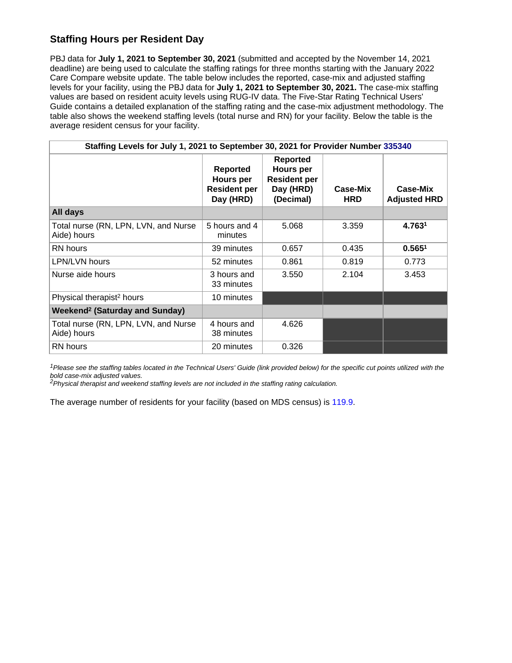# **Staffing Hours per Resident Day**

PBJ data for **July 1, 2021 to September 30, 2021** (submitted and accepted by the November 14, 2021 deadline) are being used to calculate the staffing ratings for three months starting with the January 2022 Care Compare website update. The table below includes the reported, case-mix and adjusted staffing levels for your facility, using the PBJ data for **July 1, 2021 to September 30, 2021.** The case-mix staffing values are based on resident acuity levels using RUG-IV data. The Five-Star Rating Technical Users' Guide contains a detailed explanation of the staffing rating and the case-mix adjustment methodology. The table also shows the weekend staffing levels (total nurse and RN) for your facility. Below the table is the average resident census for your facility.

| Staffing Levels for July 1, 2021 to September 30, 2021 for Provider Number 335340 |                                                                  |                                                                               |                        |                                 |  |  |
|-----------------------------------------------------------------------------------|------------------------------------------------------------------|-------------------------------------------------------------------------------|------------------------|---------------------------------|--|--|
|                                                                                   | <b>Reported</b><br>Hours per<br><b>Resident per</b><br>Day (HRD) | <b>Reported</b><br>Hours per<br><b>Resident per</b><br>Day (HRD)<br>(Decimal) | Case-Mix<br><b>HRD</b> | Case-Mix<br><b>Adjusted HRD</b> |  |  |
| All days                                                                          |                                                                  |                                                                               |                        |                                 |  |  |
| Total nurse (RN, LPN, LVN, and Nurse<br>Aide) hours                               | 5 hours and 4<br>minutes                                         | 5.068                                                                         | 3.359                  | 4.7631                          |  |  |
| RN hours                                                                          | 39 minutes                                                       | 0.657                                                                         | 0.435                  | 0.565 <sup>1</sup>              |  |  |
| LPN/LVN hours                                                                     | 52 minutes                                                       | 0.861                                                                         | 0.819                  | 0.773                           |  |  |
| Nurse aide hours                                                                  | 3 hours and<br>33 minutes                                        | 3.550                                                                         | 2.104                  | 3.453                           |  |  |
| Physical therapist <sup>2</sup> hours                                             | 10 minutes                                                       |                                                                               |                        |                                 |  |  |
| <b>Weekend<sup>2</sup> (Saturday and Sunday)</b>                                  |                                                                  |                                                                               |                        |                                 |  |  |
| Total nurse (RN, LPN, LVN, and Nurse<br>Aide) hours                               | 4 hours and<br>38 minutes                                        | 4.626                                                                         |                        |                                 |  |  |
| <b>RN</b> hours                                                                   | 20 minutes                                                       | 0.326                                                                         |                        |                                 |  |  |

<sup>1</sup>Please see the staffing tables located in the Technical Users' Guide (link provided below) for the specific cut points utilized with the bold case-mix adjusted values.

<sup>2</sup>Physical therapist and weekend staffing levels are not included in the staffing rating calculation.

The average number of residents for your facility (based on MDS census) is 119.9.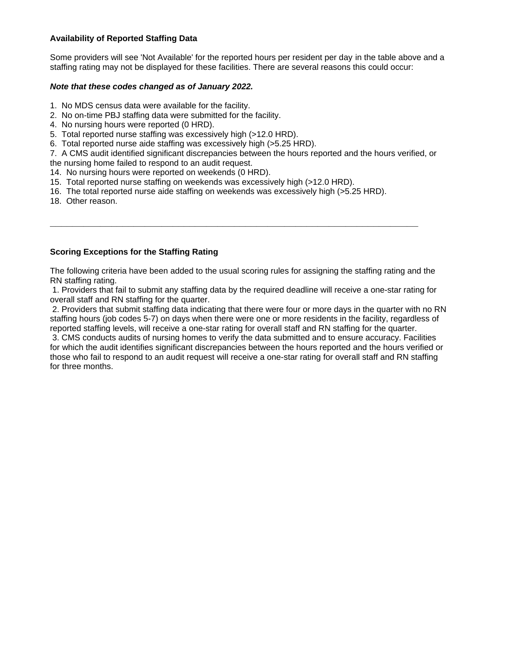# **Availability of Reported Staffing Data**

Some providers will see 'Not Available' for the reported hours per resident per day in the table above and a staffing rating may not be displayed for these facilities. There are several reasons this could occur:

## **Note that these codes changed as of January 2022.**

- 1. No MDS census data were available for the facility.
- 2. No on-time PBJ staffing data were submitted for the facility.
- 4. No nursing hours were reported (0 HRD).
- 5. Total reported nurse staffing was excessively high (>12.0 HRD).
- 6. Total reported nurse aide staffing was excessively high (>5.25 HRD).

7. A CMS audit identified significant discrepancies between the hours reported and the hours verified, or the nursing home failed to respond to an audit request.

- 14. No nursing hours were reported on weekends (0 HRD).
- 15. Total reported nurse staffing on weekends was excessively high (>12.0 HRD).
- 16. The total reported nurse aide staffing on weekends was excessively high (>5.25 HRD).
- 18. Other reason.

# **Scoring Exceptions for the Staffing Rating**

The following criteria have been added to the usual scoring rules for assigning the staffing rating and the RN staffing rating.

**\_\_\_\_\_\_\_\_\_\_\_\_\_\_\_\_\_\_\_\_\_\_\_\_\_\_\_\_\_\_\_\_\_\_\_\_\_\_\_\_\_\_\_\_\_\_\_\_\_\_\_\_\_\_\_\_\_\_\_\_\_\_\_\_\_\_**

 1. Providers that fail to submit any staffing data by the required deadline will receive a one-star rating for overall staff and RN staffing for the quarter.

 2. Providers that submit staffing data indicating that there were four or more days in the quarter with no RN staffing hours (job codes 5-7) on days when there were one or more residents in the facility, regardless of reported staffing levels, will receive a one-star rating for overall staff and RN staffing for the quarter.

 3. CMS conducts audits of nursing homes to verify the data submitted and to ensure accuracy. Facilities for which the audit identifies significant discrepancies between the hours reported and the hours verified or those who fail to respond to an audit request will receive a one-star rating for overall staff and RN staffing for three months.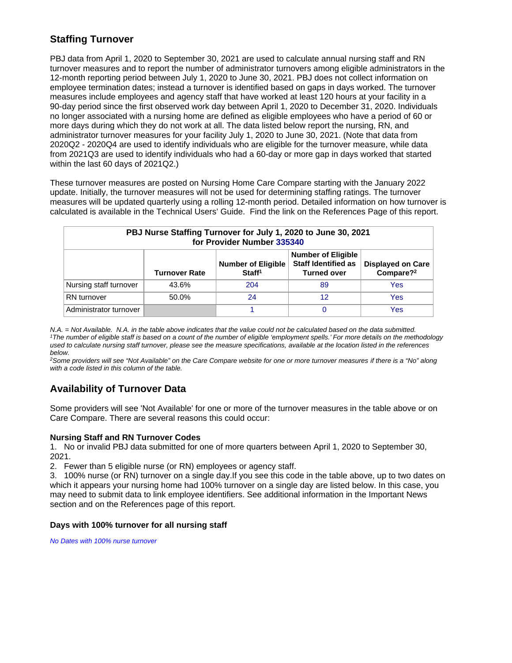# **Staffing Turnover**

PBJ data from April 1, 2020 to September 30, 2021 are used to calculate annual nursing staff and RN turnover measures and to report the number of administrator turnovers among eligible administrators in the 12-month reporting period between July 1, 2020 to June 30, 2021. PBJ does not collect information on employee termination dates; instead a turnover is identified based on gaps in days worked. The turnover measures include employees and agency staff that have worked at least 120 hours at your facility in a 90-day period since the first observed work day between April 1, 2020 to December 31, 2020. Individuals no longer associated with a nursing home are defined as eligible employees who have a period of 60 or more days during which they do not work at all. The data listed below report the nursing, RN, and administrator turnover measures for your facility July 1, 2020 to June 30, 2021. (Note that data from 2020Q2 - 2020Q4 are used to identify individuals who are eligible for the turnover measure, while data from 2021Q3 are used to identify individuals who had a 60-day or more gap in days worked that started within the last 60 days of 2021Q2.)

These turnover measures are posted on Nursing Home Care Compare starting with the January 2022 update. Initially, the turnover measures will not be used for determining staffing ratings. The turnover measures will be updated quarterly using a rolling 12-month period. Detailed information on how turnover is calculated is available in the Technical Users' Guide. Find the link on the References Page of this report.

| PBJ Nurse Staffing Turnover for July 1, 2020 to June 30, 2021<br>for Provider Number 335340 |                      |                                                                                                            |                                                   |     |  |  |  |
|---------------------------------------------------------------------------------------------|----------------------|------------------------------------------------------------------------------------------------------------|---------------------------------------------------|-----|--|--|--|
|                                                                                             | <b>Turnover Rate</b> | <b>Number of Eligible</b><br><b>Staff Identified as</b><br><b>Number of Eligible</b><br><b>Turned over</b> | <b>Displayed on Care</b><br>Compare? <sup>2</sup> |     |  |  |  |
| Nursing staff turnover                                                                      | 43.6%                | 204                                                                                                        | 89                                                | Yes |  |  |  |
| <b>RN</b> turnover                                                                          | 50.0%                | 24                                                                                                         | 12                                                | Yes |  |  |  |
| Administrator turnover                                                                      |                      |                                                                                                            | 0                                                 | Yes |  |  |  |

N.A. = Not Available. N.A. in the table above indicates that the value could not be calculated based on the data submitted. <sup>1</sup>The number of eligible staff is based on a count of the number of eligible 'employment spells.' For more details on the methodology used to calculate nursing staff turnover, please see the measure specifications, available at the location listed in the references below.

<sup>2</sup>Some providers will see "Not Available" on the Care Compare website for one or more turnover measures if there is a "No" along with a code listed in this column of the table.

# **Availability of Turnover Data**

Some providers will see 'Not Available' for one or more of the turnover measures in the table above or on Care Compare. There are several reasons this could occur:

# **Nursing Staff and RN Turnover Codes**

1. No or invalid PBJ data submitted for one of more quarters between April 1, 2020 to September 30, 2021.

2. Fewer than 5 eligible nurse (or RN) employees or agency staff.

3. 100% nurse (or RN) turnover on a single day.If you see this code in the table above, up to two dates on which it appears your nursing home had 100% turnover on a single day are listed below. In this case, you may need to submit data to link employee identifiers. See additional information in the Important News section and on the References page of this report.

# **Days with 100% turnover for all nursing staff**

No Dates with 100% nurse turnover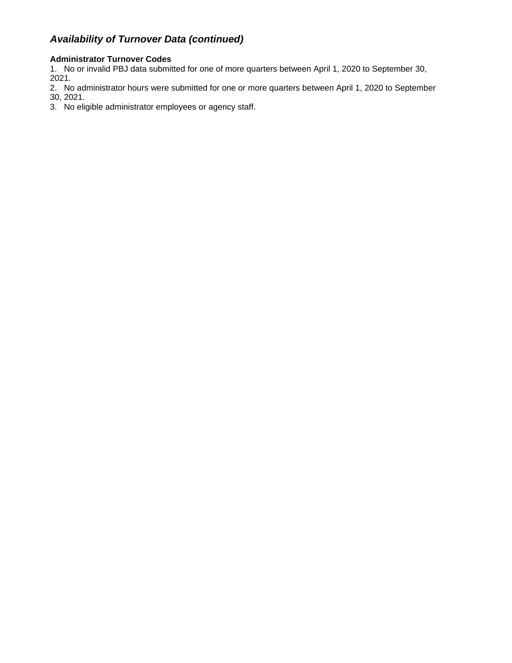# **Availability of Turnover Data (continued)**

# **Administrator Turnover Codes**

1. No or invalid PBJ data submitted for one of more quarters between April 1, 2020 to September 30, 2021.

2. No administrator hours were submitted for one or more quarters between April 1, 2020 to September 30, 2021.

3. No eligible administrator employees or agency staff.